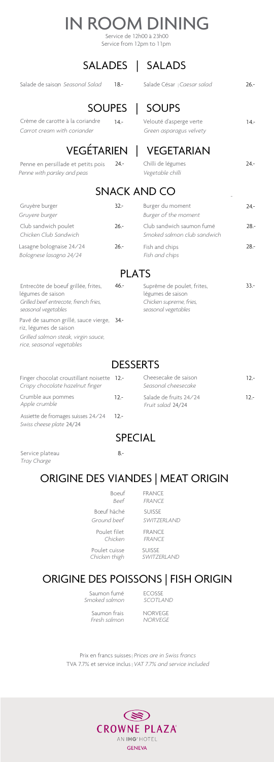# IN ROOM DINING

## SALADES | SALADS

Salade de saiso<sub>l</sub> *Seasonal Salad* 18.- Salade César | Caesar salad 26.-

#### SOUPES | SOUPS

# VEGÉTARIEN | VEGETARIAN

Crème de carotte à la coriandre *Carrot cream with coriander* 

Penne en persillade et petits pois *Penne with parsley and peas*

| $14 -$ | Velouté d'asperge verte |  |  |  |  |
|--------|-------------------------|--|--|--|--|
|        | Green asparagus velvety |  |  |  |  |

| 24.- | Chilli de légumes | $24-$ |
|------|-------------------|-------|
|      | Vegetable chilli  |       |

### SNACK AND CO

### PLATS

*Grilled salmon steak, virgin sauce, rice, seasonal vegetables*

### **DESSERTS**

Saumon fumé **ECOSSE** *Smoked salmon SCOTLAND*

Saumon frais NORVEGE  *Fresh salmon NORVEGE*

|                                                     | 51 17 1 CINTINO CO |                                                          |        |
|-----------------------------------------------------|--------------------|----------------------------------------------------------|--------|
| Gruyère burger<br>Gruyere burger                    | $32 -$             | Burger du moment<br>Burger of the moment                 | $24 -$ |
| Club sandwich poulet<br>Chicken Club Sandwich       | $26. -$            | Club sandwich saumon fumé<br>Smoked salmon club sandwich | $28 -$ |
| Lasagne bolognaise 24/24<br>Bolognese lasagna 24/24 | $26 -$             | Fish and chips<br>Fish and chips                         | $28 -$ |

*Apple crumble*

| Entrecôte de boeuf grillée, frites,<br>$46. -$<br>légumes de saison<br>Grilled beef entrecote, french fries,<br>seasonal vegetables |  | Suprême de poulet, frites,<br>légumes de saison<br>Chicken supreme, fries,<br>seasonal vegetables |  |  |  |  |
|-------------------------------------------------------------------------------------------------------------------------------------|--|---------------------------------------------------------------------------------------------------|--|--|--|--|
| Pavé de saumon grillé, sauce vierge, 34.-<br>riz, légumes de saison                                                                 |  |                                                                                                   |  |  |  |  |

*Fruit salad* 24/24

#### ORIGINE DES VIANDES | MEAT ORIGIN

| Finger chocolat croustillant noisette 12.-<br>Crispy chocolate hazelnut finger                                                                                                                                                                                                                                                                                                                                                                                 |        | Cheesecake de saison<br>Seasonal cheesecake |        |  |
|----------------------------------------------------------------------------------------------------------------------------------------------------------------------------------------------------------------------------------------------------------------------------------------------------------------------------------------------------------------------------------------------------------------------------------------------------------------|--------|---------------------------------------------|--------|--|
| Crumble aux pommes<br>$\begin{array}{ccc} \begin{array}{ccc} \mathbf{A} & \mathbf{I} & \mathbf{I} & \mathbf{I} & \mathbf{I} & \mathbf{I} & \mathbf{I} & \mathbf{I} & \mathbf{I} & \mathbf{I} & \mathbf{I} & \mathbf{I} & \mathbf{I} & \mathbf{I} & \mathbf{I} & \mathbf{I} & \mathbf{I} & \mathbf{I} & \mathbf{I} & \mathbf{I} & \mathbf{I} & \mathbf{I} & \mathbf{I} & \mathbf{I} & \mathbf{I} & \mathbf{I} & \mathbf{I} & \mathbf{I} & \mathbf{I} & \mathbf$ | $12 -$ | Salade de fruits 24/24                      | $12 -$ |  |

### ORIGINE DES POISSONS | FISH ORIGIN

Prix en francs suisses | *Prices are in Swiss francs* TVA 7.7% et service inclus | *VAT 7.7% and service included*



 Boeuf FRANCE  *Beef FRANCE* Bœuf hâché SUISSE *Ground beef SWITZERLAND* Poulet filet FRANCE *Chicken FRANCE* 

Poulet cuisse SUISSE

Assiette de fromages suisses 24/24 *Swiss cheese plate* 24/24 12.-

*Chicken thigh SWITZERLAND* 

Service de 12h00 à 23h00 Service from 12pm to 11pm

#### SPECIAL

Service plateau *Tray Charge*

8.-